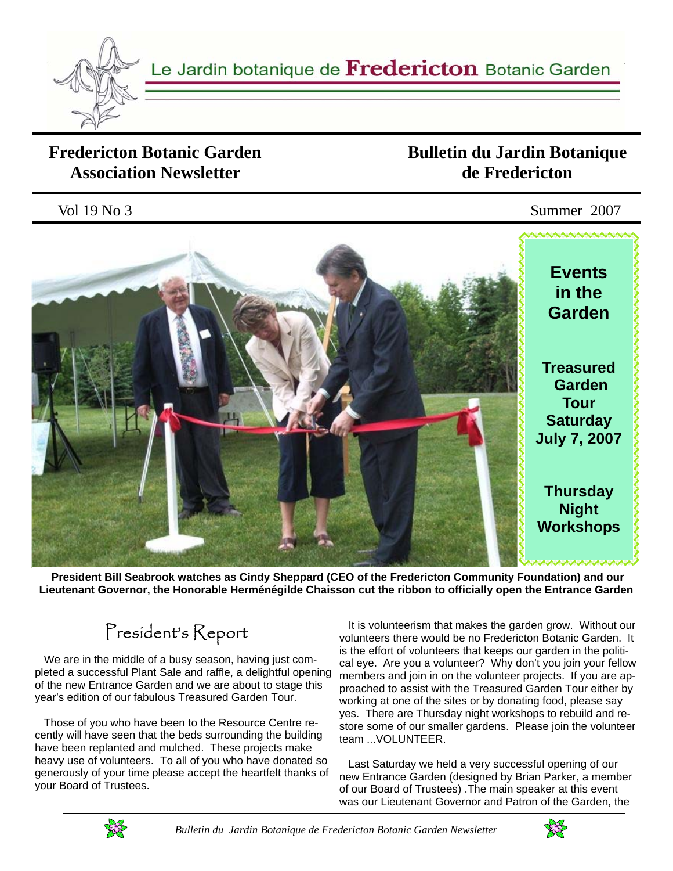

### **Fredericton Botanic Garden Association Newsletter**

### **Bulletin du Jardin Botanique de Fredericton**



 **President Bill Seabrook watches as Cindy Sheppard (CEO of the Fredericton Community Foundation) and our Lieutenant Governor, the Honorable Herménégilde Chaisson cut the ribbon to officially open the Entrance Garden**

# President's Report

 We are in the middle of a busy season, having just completed a successful Plant Sale and raffle, a delightful opening of the new Entrance Garden and we are about to stage this year's edition of our fabulous Treasured Garden Tour.

 Those of you who have been to the Resource Centre recently will have seen that the beds surrounding the building have been replanted and mulched. These projects make heavy use of volunteers. To all of you who have donated so generously of your time please accept the heartfelt thanks of your Board of Trustees.

 It is volunteerism that makes the garden grow. Without our volunteers there would be no Fredericton Botanic Garden. It is the effort of volunteers that keeps our garden in the political eye. Are you a volunteer? Why don't you join your fellow members and join in on the volunteer projects. If you are approached to assist with the Treasured Garden Tour either by working at one of the sites or by donating food, please say yes. There are Thursday night workshops to rebuild and restore some of our smaller gardens. Please join the volunteer team ...VOLUNTEER.

 Last Saturday we held a very successful opening of our new Entrance Garden (designed by Brian Parker, a member of our Board of Trustees) .The main speaker at this event was our Lieutenant Governor and Patron of the Garden, the



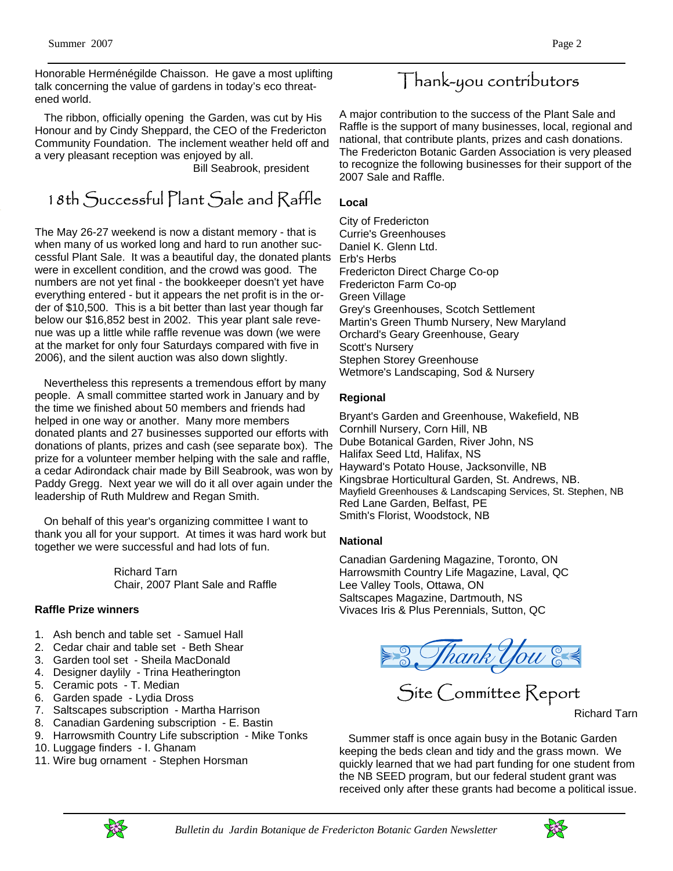Honorable Herménégilde Chaisson. He gave a most uplifting talk concerning the value of gardens in today's eco threatened world.

 The ribbon, officially opening the Garden, was cut by His Honour and by Cindy Sheppard, the CEO of the Fredericton Community Foundation. The inclement weather held off and a very pleasant reception was enjoyed by all.

Bill Seabrook, president

### 18th Successful Plant Sale and Raffle

The May 26-27 weekend is now a distant memory - that is when many of us worked long and hard to run another successful Plant Sale. It was a beautiful day, the donated plants were in excellent condition, and the crowd was good. The numbers are not yet final - the bookkeeper doesn't yet have everything entered - but it appears the net profit is in the order of \$10,500. This is a bit better than last year though far below our \$16,852 best in 2002. This year plant sale revenue was up a little while raffle revenue was down (we were at the market for only four Saturdays compared with five in 2006), and the silent auction was also down slightly.

 Nevertheless this represents a tremendous effort by many people. A small committee started work in January and by the time we finished about 50 members and friends had helped in one way or another. Many more members donated plants and 27 businesses supported our efforts with donations of plants, prizes and cash (see separate box). The prize for a volunteer member helping with the sale and raffle, a cedar Adirondack chair made by Bill Seabrook, was won by Paddy Gregg. Next year we will do it all over again under the leadership of Ruth Muldrew and Regan Smith.

 On behalf of this year's organizing committee I want to thank you all for your support. At times it was hard work but together we were successful and had lots of fun.

> Richard Tarn Chair, 2007 Plant Sale and Raffle

#### **Raffle Prize winners**

- 1. Ash bench and table set Samuel Hall
- 2. Cedar chair and table set Beth Shear
- 3. Garden tool set Sheila MacDonald
- 4. Designer daylily Trina Heatherington
- 5. Ceramic pots T. Median
- 6. Garden spade Lydia Dross
- 7. Saltscapes subscription Martha Harrison
- 8. Canadian Gardening subscription E. Bastin
- 9. Harrowsmith Country Life subscription Mike Tonks
- 10. Luggage finders I. Ghanam
- 11. Wire bug ornament Stephen Horsman

## Thank-you contributors

A major contribution to the success of the Plant Sale and Raffle is the support of many businesses, local, regional and national, that contribute plants, prizes and cash donations. The Fredericton Botanic Garden Association is very pleased to recognize the following businesses for their support of the 2007 Sale and Raffle.

#### **Local**

City of Fredericton Currie's Greenhouses Daniel K. Glenn Ltd. Erb's Herbs Fredericton Direct Charge Co-op Fredericton Farm Co-op Green Village Grey's Greenhouses, Scotch Settlement Martin's Green Thumb Nursery, New Maryland Orchard's Geary Greenhouse, Geary Scott's Nursery Stephen Storey Greenhouse Wetmore's Landscaping, Sod & Nursery

#### **Regional**

Bryant's Garden and Greenhouse, Wakefield, NB Cornhill Nursery, Corn Hill, NB Dube Botanical Garden, River John, NS Halifax Seed Ltd, Halifax, NS Hayward's Potato House, Jacksonville, NB Kingsbrae Horticultural Garden, St. Andrews, NB. Mayfield Greenhouses & Landscaping Services, St. Stephen, NB Red Lane Garden, Belfast, PE Smith's Florist, Woodstock, NB

#### **National**

Canadian Gardening Magazine, Toronto, ON Harrowsmith Country Life Magazine, Laval, QC Lee Valley Tools, Ottawa, ON Saltscapes Magazine, Dartmouth, NS Vivaces Iris & Plus Perennials, Sutton, QC



Site Committee Report

Richard Tarn

 Summer staff is once again busy in the Botanic Garden keeping the beds clean and tidy and the grass mown. We quickly learned that we had part funding for one student from the NB SEED program, but our federal student grant was received only after these grants had become a political issue.



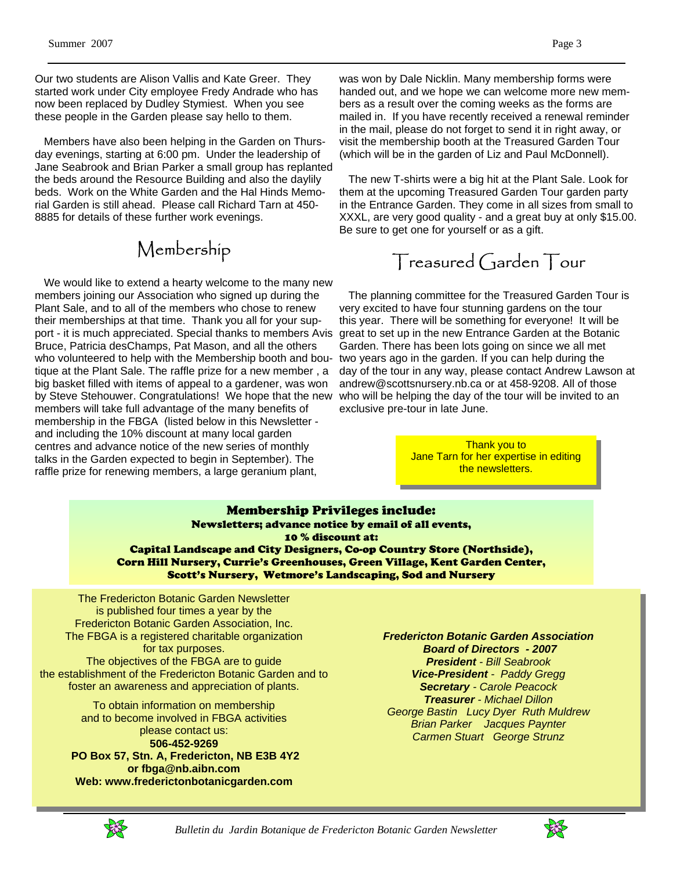Our two students are Alison Vallis and Kate Greer. They started work under City employee Fredy Andrade who has now been replaced by Dudley Stymiest. When you see these people in the Garden please say hello to them.

 Members have also been helping in the Garden on Thursday evenings, starting at 6:00 pm. Under the leadership of Jane Seabrook and Brian Parker a small group has replanted the beds around the Resource Building and also the daylily beds. Work on the White Garden and the Hal Hinds Memorial Garden is still ahead. Please call Richard Tarn at 450- 8885 for details of these further work evenings.

## Membership

 We would like to extend a hearty welcome to the many new members joining our Association who signed up during the Plant Sale, and to all of the members who chose to renew their memberships at that time. Thank you all for your support - it is much appreciated. Special thanks to members Avis Bruce, Patricia desChamps, Pat Mason, and all the others who volunteered to help with the Membership booth and boutique at the Plant Sale. The raffle prize for a new member , a big basket filled with items of appeal to a gardener, was won by Steve Stehouwer. Congratulations! We hope that the new members will take full advantage of the many benefits of membership in the FBGA (listed below in this Newsletter and including the 10% discount at many local garden centres and advance notice of the new series of monthly talks in the Garden expected to begin in September). The raffle prize for renewing members, a large geranium plant,

was won by Dale Nicklin. Many membership forms were handed out, and we hope we can welcome more new members as a result over the coming weeks as the forms are mailed in. If you have recently received a renewal reminder in the mail, please do not forget to send it in right away, or visit the membership booth at the Treasured Garden Tour (which will be in the garden of Liz and Paul McDonnell).

 The new T-shirts were a big hit at the Plant Sale. Look for them at the upcoming Treasured Garden Tour garden party in the Entrance Garden. They come in all sizes from small to XXXL, are very good quality - and a great buy at only \$15.00. Be sure to get one for yourself or as a gift.

## Treasured Garden Tour

 The planning committee for the Treasured Garden Tour is very excited to have four stunning gardens on the tour this year. There will be something for everyone! It will be great to set up in the new Entrance Garden at the Botanic Garden. There has been lots going on since we all met two years ago in the garden. If you can help during the day of the tour in any way, please contact Andrew Lawson at andrew@scottsnursery.nb.ca or at 458-9208. All of those who will be helping the day of the tour will be invited to an exclusive pre-tour in late June.

> Thank you to Jane Tarn for her expertise in editing the newsletters.

#### Membership Privileges include: Newsletters; advance notice by email of all events, 10 % discount at: Capital Landscape and City Designers, Co-op Country Store (Northside), Corn Hill Nursery, Currie's Greenhouses, Green Village, Kent Garden Center, Scott's Nursery, Wetmore's Landscaping, Sod and Nursery

The Fredericton Botanic Garden Newsletter is published four times a year by the Fredericton Botanic Garden Association, Inc. The FBGA is a registered charitable organization for tax purposes. The objectives of the FBGA are to guide the establishment of the Fredericton Botanic Garden and to foster an awareness and appreciation of plants.

> To obtain information on membership and to become involved in FBGA activities please contact us: **506-452-9269 PO Box 57, Stn. A, Fredericton, NB E3B 4Y2 or fbga@nb.aibn.com**

**Web: www.frederictonbotanicgarden.com** 

 *Board of Directors - 2007 President - Bill Seabrook Vice-President - Paddy Gregg Secretary - Carole Peacock Treasurer - Michael Dillon George Bastin Lucy Dyer Ruth Muldrew Brian Parker Jacques Paynter Carmen Stuart George Strunz* 

*Fredericton Botanic Garden Association*